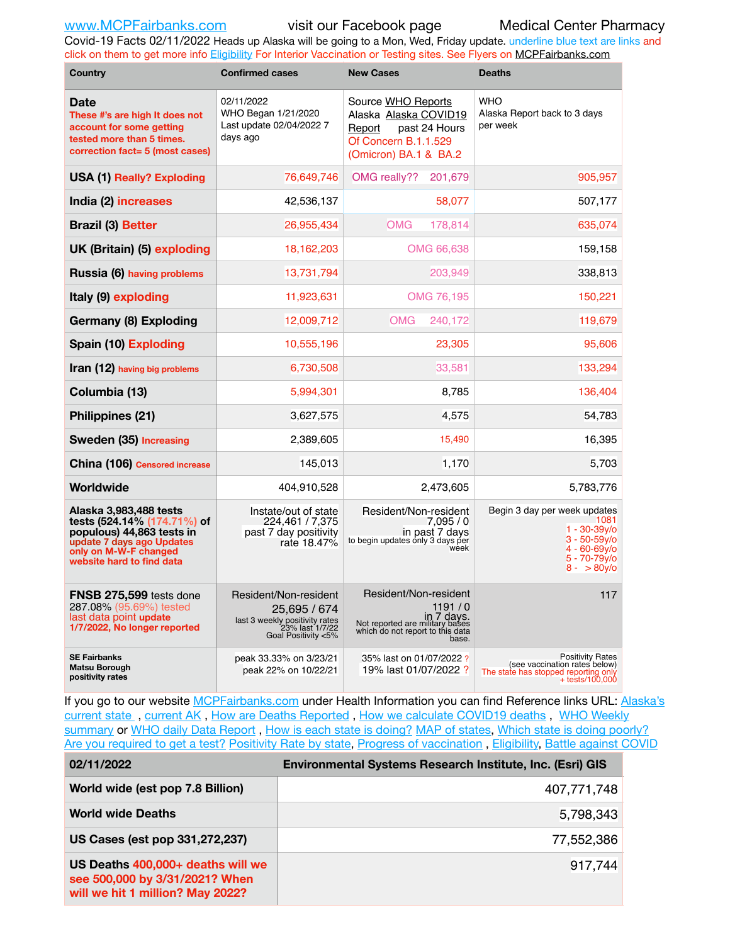Covid-19 Facts 02/11/2022 Heads up Alaska will be going to a Mon, Wed, Friday update. underline blue text are links and click on them to get more info [Eligibility](http://dhss.alaska.gov/dph/Epi/id/Pages/COVID-19/VaccineAvailability.aspx) For Interior Vaccination or Testing sites. See Flyers on [MCPFairbanks.com](http://www.MCPFairbanks.com)

| Country                                                                                                                                                               | <b>Confirmed cases</b>                                                                                            | <b>New Cases</b>                                                                                                              | <b>Deaths</b>                                                                                                                 |  |  |  |
|-----------------------------------------------------------------------------------------------------------------------------------------------------------------------|-------------------------------------------------------------------------------------------------------------------|-------------------------------------------------------------------------------------------------------------------------------|-------------------------------------------------------------------------------------------------------------------------------|--|--|--|
| Date<br>These #'s are high It does not<br>account for some getting<br>tested more than 5 times.<br>correction fact= 5 (most cases)                                    | 02/11/2022<br>WHO Began 1/21/2020<br>Last update 02/04/2022 7<br>days ago                                         | Source WHO Reports<br>Alaska Alaska COVID19<br>past 24 Hours<br>Report<br>Of Concern B.1.1.529<br>(Omicron) BA.1 & BA.2       | <b>WHO</b><br>Alaska Report back to 3 days<br>per week                                                                        |  |  |  |
| <b>USA (1) Really? Exploding</b>                                                                                                                                      | 76,649,746                                                                                                        | OMG really??<br>201,679                                                                                                       | 905,957                                                                                                                       |  |  |  |
| India (2) increases                                                                                                                                                   | 42,536,137                                                                                                        | 58,077                                                                                                                        | 507,177                                                                                                                       |  |  |  |
| <b>Brazil (3) Better</b>                                                                                                                                              | 26,955,434                                                                                                        | <b>OMG</b><br>178,814                                                                                                         | 635,074                                                                                                                       |  |  |  |
| UK (Britain) (5) exploding                                                                                                                                            | 18,162,203                                                                                                        | OMG 66,638                                                                                                                    | 159,158                                                                                                                       |  |  |  |
| Russia (6) having problems                                                                                                                                            | 13,731,794                                                                                                        | 203,949                                                                                                                       | 338,813                                                                                                                       |  |  |  |
| Italy (9) exploding                                                                                                                                                   | 11,923,631                                                                                                        | OMG 76,195                                                                                                                    | 150,221                                                                                                                       |  |  |  |
| Germany (8) Exploding                                                                                                                                                 | 12,009,712                                                                                                        | <b>OMG</b><br>240,172                                                                                                         | 119,679                                                                                                                       |  |  |  |
| Spain (10) Exploding                                                                                                                                                  | 10,555,196                                                                                                        | 23,305                                                                                                                        | 95,606                                                                                                                        |  |  |  |
| Iran (12) having big problems                                                                                                                                         | 6,730,508                                                                                                         | 33.581                                                                                                                        | 133,294                                                                                                                       |  |  |  |
| Columbia (13)                                                                                                                                                         | 5,994,301                                                                                                         | 8,785                                                                                                                         | 136,404                                                                                                                       |  |  |  |
| Philippines (21)                                                                                                                                                      | 3,627,575                                                                                                         | 4,575                                                                                                                         | 54,783                                                                                                                        |  |  |  |
| Sweden (35) Increasing                                                                                                                                                | 2,389,605                                                                                                         | 15,490                                                                                                                        | 16,395                                                                                                                        |  |  |  |
| China (106) Censored increase                                                                                                                                         | 145,013                                                                                                           | 1,170                                                                                                                         | 5,703                                                                                                                         |  |  |  |
| Worldwide                                                                                                                                                             | 404,910,528                                                                                                       | 2,473,605                                                                                                                     | 5,783,776                                                                                                                     |  |  |  |
| Alaska 3,983,488 tests<br>tests (524.14% (174.71%) of<br>populous) 44,863 tests in<br>update 7 days ago Updates<br>only on M-W-F changed<br>website hard to find data | Instate/out of state<br>224,461 / 7,375<br>past 7 day positivity<br>rate 18.47%                                   | Resident/Non-resident<br>7.095/0<br>in past 7 days<br>to begin updates only 3 days per<br>week                                | Begin 3 day per week updates<br>1081<br>$1 - 30 - 39$ y/o<br>$3 - 50 - 59v$<br>$4 - 60 - 69y$<br>5 - 70-79y/o<br>$8 - 80v$ /o |  |  |  |
| <b>FNSB 275,599</b> tests done<br>287.08% (95.69%) tested<br>last data point update<br>1/7/2022, No longer reported                                                   | Resident/Non-resident<br>25,695 / 674<br>last 3 weekly positivity rates<br>23% last 1/7/22<br>Goal Positivity <5% | Resident/Non-resident<br>1191/0<br>in 7 days.<br>Not reported are military bases<br>which do not report to this data<br>base. | 117                                                                                                                           |  |  |  |
| <b>SE Fairbanks</b><br><b>Matsu Borough</b><br>positivity rates                                                                                                       | peak 33.33% on 3/23/21<br>peak 22% on 10/22/21                                                                    | 35% last on 01/07/2022?<br>19% last 01/07/2022?                                                                               | <b>Positivity Rates</b><br>(see vaccination rates below)<br>The state has stopped reporting only<br>$+$ tests/100,000         |  |  |  |

If you go to our website [MCPFairbanks.com](http://www.MCPFairbanks.com) under Health Information you can find Reference links URL: Alaska's [current state](https://coronavirus-response-alaska-dhss.hub.arcgis.com) , [current AK](http://dhss.alaska.gov/dph/Epi/id/Pages/COVID-19/communications.aspx#cases) , [How are Deaths Reported](http://dhss.alaska.gov/dph/Epi/id/Pages/COVID-19/deathcounts.aspx) , [How we calculate COVID19 deaths](https://coronavirus-response-alaska-dhss.hub.arcgis.com/search?collection=Document&groupIds=41ccb3344ebc4bd682c74073eba21f42) , [WHO Weekly](http://www.who.int)  [summary](http://www.who.int) or [WHO daily Data Report](https://covid19.who.int/table), [How is each state is doing?](https://www.msn.com/en-us/news/us/state-by-state-coronavirus-news/ar-BB13E1PX?fbclid=IwAR0_OBJH7lSyTN3ug_MsOeFnNgB1orTa9OBgilKJ7dhnwlVvHEsptuKkj1c) [MAP of states,](https://www.nationalgeographic.com/science/graphics/graphic-tracking-coronavirus-infections-us?cmpid=org=ngp::mc=crm-email::src=ngp::cmp=editorial::add=SpecialEdition_20210305&rid=B9A6DF5992658E8E35CE023113CFEA4C) [Which state is doing poorly?](https://bestlifeonline.com/covid-outbreak-your-state/?utm_source=nsltr&utm_medium=email&utm_content=covid-outbreak-your-state&utm_campaign=launch) [Are you required to get a test?](http://dhss.alaska.gov/dph/Epi/id/SiteAssets/Pages/HumanCoV/Whattodoafteryourtest.pdf) [Positivity Rate by state](https://coronavirus.jhu.edu/testing/individual-states/alaska), Progress of vaccination, [Eligibility,](http://dhss.alaska.gov/dph/Epi/id/Pages/COVID-19/VaccineAvailability.aspx) [Battle against COVID](https://www.nationalgeographic.com/science/graphics/graphic-tracking-coronavirus-infections-us?cmpid=org=ngp::mc=crm-email::src=ngp::cmp=editorial::add=SpecialEdition_20210219&rid=B9A6DF5992658E8E35CE023113CFEA4C)

| 02/11/2022                                                                                              | Environmental Systems Research Institute, Inc. (Esri) GIS |
|---------------------------------------------------------------------------------------------------------|-----------------------------------------------------------|
| World wide (est pop 7.8 Billion)                                                                        | 407,771,748                                               |
| <b>World wide Deaths</b>                                                                                | 5,798,343                                                 |
| US Cases (est pop 331,272,237)                                                                          | 77,552,386                                                |
| US Deaths 400,000+ deaths will we<br>see 500,000 by 3/31/2021? When<br>will we hit 1 million? May 2022? | 917,744                                                   |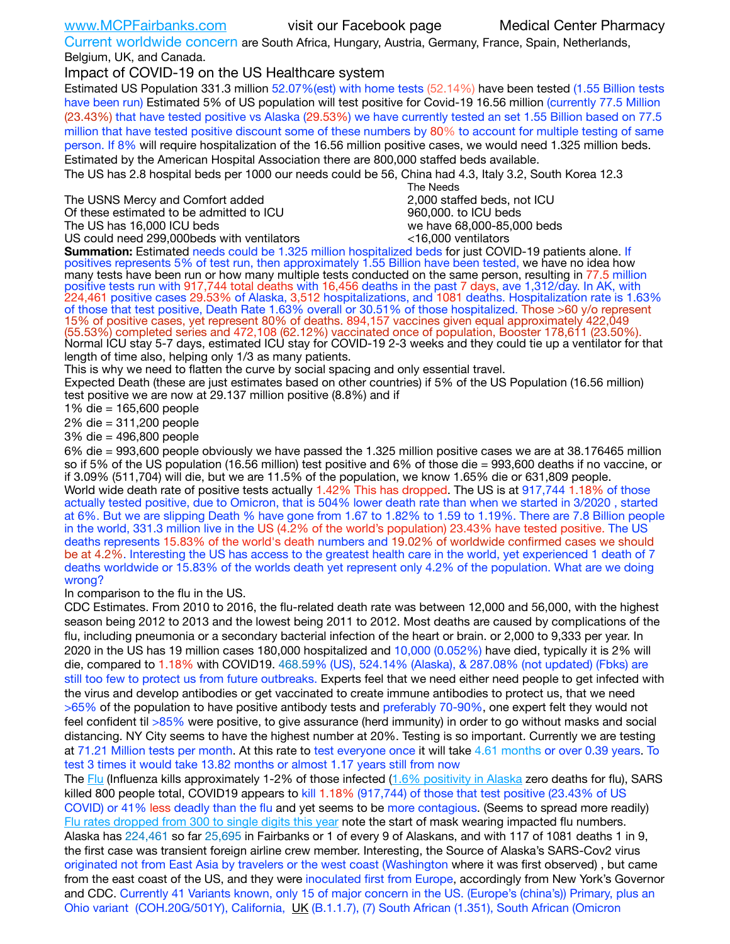Current worldwide concern are South Africa, Hungary, Austria, Germany, France, Spain, Netherlands, Belgium, UK, and Canada.

Impact of COVID-19 on the US Healthcare system

Estimated US Population 331.3 million 52.07%(est) with home tests (52.14%) have been tested (1.55 Billion tests have been run) Estimated 5% of US population will test positive for Covid-19 16.56 million (currently 77.5 Million (23.43%) that have tested positive vs Alaska (29.53%) we have currently tested an set 1.55 Billion based on 77.5 million that have tested positive discount some of these numbers by 80% to account for multiple testing of same person. If 8% will require hospitalization of the 16.56 million positive cases, we would need 1.325 million beds. Estimated by the American Hospital Association there are 800,000 staffed beds available.

The US has 2.8 hospital beds per 1000 our needs could be 56, China had 4.3, Italy 3.2, South Korea 12.3

The USNS Mercy and Comfort added 2,000 staffed beds, not ICU Of these estimated to be admitted to ICU 860,000. to ICU beds The US has 16,000 ICU beds we have 68,000-85,000 beds

US could need 299,000beds with ventilators  $\leq 16,000$  ventilators

 The Needs

**Summation:** Estimated needs could be 1.325 million hospitalized beds for just COVID-19 patients alone. If positives represents 5% of test run, then approximately 1.55 Billion have been tested, we have no idea how many tests have been run or how many multiple tests conducted on the same person, resulting in 77.5 million positive tests run with 917,744 total deaths with 16,456 deaths in the past 7 days, ave 1,312/day. In AK, with 224,461 positive cases 29.53% of Alaska, 3,512 hospitalizations, and 1081 deaths. Hospitalization rate is 1.63% of those that test positive, Death Rate 1.63% overall or 30.51% of those hospitalized. Those >60 y/o represent 15% of positive cases, yet represent 80% of deaths. 894,157 vaccines given equal approximately 422,049 (55.53%) completed series and 472,108 (62.12%) vaccinated once of population, Booster 178,611 (23.50%). Normal ICU stay 5-7 days, estimated ICU stay for COVID-19 2-3 weeks and they could tie up a ventilator for that length of time also, helping only 1/3 as many patients.

This is why we need to flatten the curve by social spacing and only essential travel.

Expected Death (these are just estimates based on other countries) if 5% of the US Population (16.56 million) test positive we are now at 29.137 million positive (8.8%) and if

1% die = 165,600 people

2% die = 311,200 people

3% die = 496,800 people

6% die = 993,600 people obviously we have passed the 1.325 million positive cases we are at 38.176465 million so if 5% of the US population (16.56 million) test positive and 6% of those die = 993,600 deaths if no vaccine, or if 3.09% (511,704) will die, but we are 11.5% of the population, we know 1.65% die or 631,809 people. World wide death rate of positive tests actually 1.42% This has dropped. The US is at 917,744 1.18% of those actually tested positive, due to Omicron, that is 504% lower death rate than when we started in 3/2020 , started at 6%. But we are slipping Death % have gone from 1.67 to 1.82% to 1.59 to 1.19%. There are 7.8 Billion people in the world, 331.3 million live in the US (4.2% of the world's population) 23.43% have tested positive. The US deaths represents 15.83% of the world's death numbers and 19.02% of worldwide confirmed cases we should be at 4.2%. Interesting the US has access to the greatest health care in the world, yet experienced 1 death of 7 deaths worldwide or 15.83% of the worlds death yet represent only 4.2% of the population. What are we doing wrong?

In comparison to the flu in the US.

CDC Estimates. From 2010 to 2016, the flu-related death rate was between 12,000 and 56,000, with the highest season being 2012 to 2013 and the lowest being 2011 to 2012. Most deaths are caused by complications of the flu, including pneumonia or a secondary bacterial infection of the heart or brain. or 2,000 to 9,333 per year. In 2020 in the US has 19 million cases 180,000 hospitalized and 10,000 (0.052%) have died, typically it is 2% will die, compared to 1.18% with COVID19. 468.59% (US), 524.14% (Alaska), & 287.08% (not updated) (Fbks) are still too few to protect us from future outbreaks. Experts feel that we need either need people to get infected with the virus and develop antibodies or get vaccinated to create immune antibodies to protect us, that we need >65% of the population to have positive antibody tests and preferably 70-90%, one expert felt they would not feel confident til >85% were positive, to give assurance (herd immunity) in order to go without masks and social distancing. NY City seems to have the highest number at 20%. Testing is so important. Currently we are testing at 71.21 Million tests per month. At this rate to test everyone once it will take 4.61 months or over 0.39 years. To test 3 times it would take 13.82 months or almost 1.17 years still from now

The [Flu](https://lnks.gd/l/eyJhbGciOiJIUzI1NiJ9.eyJidWxsZXRpbl9saW5rX2lkIjoxMDMsInVyaSI6ImJwMjpjbGljayIsImJ1bGxldGluX2lkIjoiMjAyMTAyMjYuMzYwNDA3NTEiLCJ1cmwiOiJodHRwczovL3d3dy5jZGMuZ292L2ZsdS93ZWVrbHkvb3ZlcnZpZXcuaHRtIn0.ePMA_hsZ-pTnhWSyg1gHvHWYTu2XceVOt0JejxvP1WE/s/500544915/br/98428119752-l) (Influenza kills approximately 1-2% of those infected ([1.6% positivity in Alaska](http://dhss.alaska.gov/dph/Epi/id/SiteAssets/Pages/influenza/trends/Snapshot.pdf) zero deaths for flu), SARS killed 800 people total, COVID19 appears to kill 1.18% (917,744) of those that test positive (23.43% of US COVID) or 41% less deadly than the flu and yet seems to be more contagious. (Seems to spread more readily) [Flu rates dropped from 300 to single digits this year](https://lnks.gd/l/eyJhbGciOiJIUzI1NiJ9.eyJidWxsZXRpbl9saW5rX2lkIjoxMDEsInVyaSI6ImJwMjpjbGljayIsImJ1bGxldGluX2lkIjoiMjAyMTAyMjYuMzYwNDA3NTEiLCJ1cmwiOiJodHRwOi8vZGhzcy5hbGFza2EuZ292L2RwaC9FcGkvaWQvUGFnZXMvaW5mbHVlbnphL2ZsdWluZm8uYXNweCJ9.oOe3nt2fww6XpsNhb4FZfmtPfPa-irGaldpkURBJhSo/s/500544915/br/98428119752-l) note the start of mask wearing impacted flu numbers. Alaska has 224,461 so far 25,695 in Fairbanks or 1 of every 9 of Alaskans, and with 117 of 1081 deaths 1 in 9, the first case was transient foreign airline crew member. Interesting, the Source of Alaska's SARS-Cov2 virus originated not from East Asia by travelers or the west coast (Washington where it was first observed) , but came from the east coast of the US, and they were inoculated first from Europe, accordingly from New York's Governor and CDC. Currently 41 Variants known, only 15 of major concern in the US. (Europe's (china's)) Primary, plus an Ohio variant (COH.20G/501Y), California, [UK](https://www.cdc.gov/coronavirus/2019-ncov/transmission/variant-cases.html) (B.1.1.7), (7) South African (1.351), South African (Omicron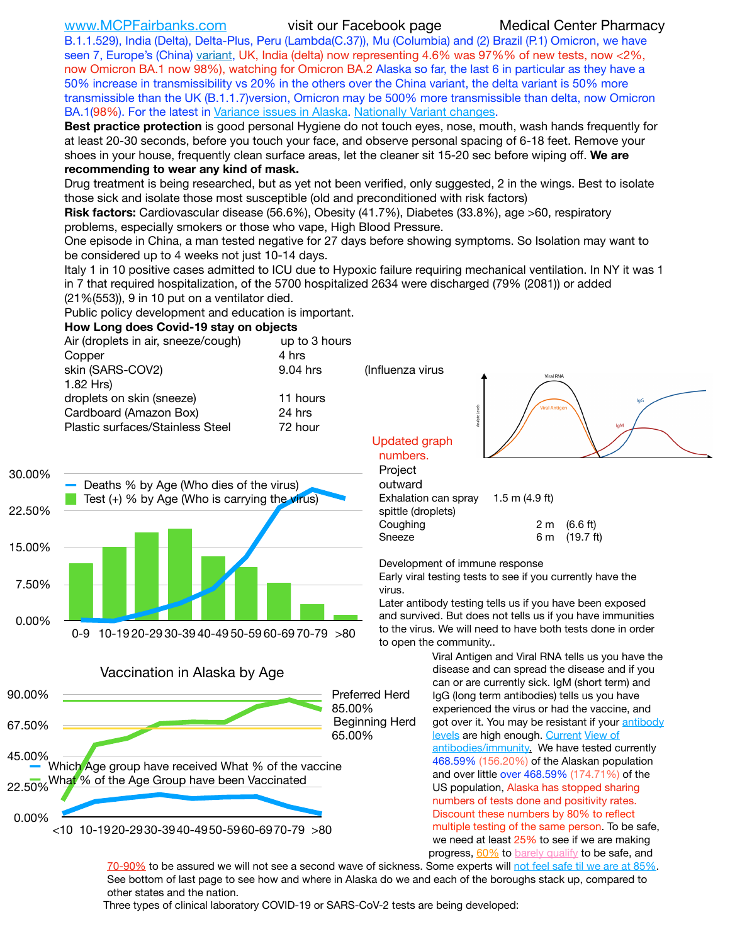B.1.1.529), India (Delta), Delta-Plus, Peru (Lambda(C.37)), Mu (Columbia) and (2) Brazil (P.1) Omicron, we have seen 7, Europe's (China) [variant,](https://www.webmd.com/lung/news/20210318/cdc-who-create-threat-levels-for-covid-variants?ecd=wnl_cvd_031921&ctr=wnl-cvd-031921&mb=kYbf7DsHb7YGjh/1RUkcAW0T6iorImAU1TDZh18RYs0=_Support_titleLink_2) UK, India (delta) now representing 4.6% was 97%% of new tests, now <2%, now Omicron BA.1 now 98%), watching for Omicron BA.2 Alaska so far, the last 6 in particular as they have a 50% increase in transmissibility vs 20% in the others over the China variant, the delta variant is 50% more transmissible than the UK (B.1.1.7)version, Omicron may be 500% more transmissible than delta, now Omicron BA.1(98%). For the latest in [Variance issues in Alaska.](https://experience.arcgis.com/experience/af2efc8bffbf4cdc83c2d1a134354074/) [Nationally Variant changes](https://covid.cdc.gov/covid-data-tracker/#variant-proportions).

**Best practice protection** is good personal Hygiene do not touch eyes, nose, mouth, wash hands frequently for at least 20-30 seconds, before you touch your face, and observe personal spacing of 6-18 feet. Remove your shoes in your house, frequently clean surface areas, let the cleaner sit 15-20 sec before wiping off. **We are recommending to wear any kind of mask.**

Drug treatment is being researched, but as yet not been verified, only suggested, 2 in the wings. Best to isolate those sick and isolate those most susceptible (old and preconditioned with risk factors)

**Risk factors:** Cardiovascular disease (56.6%), Obesity (41.7%), Diabetes (33.8%), age >60, respiratory problems, especially smokers or those who vape, High Blood Pressure.

One episode in China, a man tested negative for 27 days before showing symptoms. So Isolation may want to be considered up to 4 weeks not just 10-14 days.

Italy 1 in 10 positive cases admitted to ICU due to Hypoxic failure requiring mechanical ventilation. In NY it was 1 in 7 that required hospitalization, of the 5700 hospitalized 2634 were discharged (79% (2081)) or added (21%(553)), 9 in 10 put on a ventilator died.

(Influenza virus

Updated graph

Public policy development and education is important.

### **How Long does Covid-19 stay on objects**

| 4 hrs    |
|----------|
| 9.04 hrs |
|          |
| 11 hours |
| 24 hrs   |
| 72 hour  |
|          |





outward Exhalation can spray 1.5 m (4.9 ft) spittle (droplets) Coughing  $2 \text{ m}$  (6.6 ft) Sneeze 6 m (19.7 ft)

Development of immune response

Early viral testing tests to see if you currently have the virus.

Later antibody testing tells us if you have been exposed and survived. But does not tells us if you have immunities to the virus. We will need to have both tests done in order to open the community..

> Viral Antigen and Viral RNA tells us you have the disease and can spread the disease and if you can or are currently sick. IgM (short term) and IgG (long term antibodies) tells us you have experienced the virus or had the vaccine, and got over it. You may be resistant if your antibody [levels](https://www.cdc.gov/coronavirus/2019-ncov/lab/resources/antibody-tests.html) are high enough. [Current](https://l.facebook.com/l.php?u=https://www.itv.com/news/2020-10-26/covid-19-antibody-levels-reduce-over-time-study-finds?fbclid=IwAR3Dapzh1qIH1EIOdUQI2y8THf7jfA4KBCaJz8Qg-8xe1YsrR4nsAHDIXSY&h=AT30nut8pkqp0heVuz5W2rT2WFFm-2Ab52BsJxZZCNlGsX58IpPkuVEPULbIUV_M16MAukx1Kwb657DPXxsgDN1rpOQ4gqBtQsmVYiWpnHPJo2RQsU6CPMd14lgLnQnFWxfVi6zvmw&__tn__=-UK-R&c%5B0%5D=AT1GaRAfR_nGAyqcn7TI1-PpvqOqEKXHnz6TDWvRStMnOSH7boQDvTiwTOc6VId9UES6LKiOmm2m88wKCoolkJyOFvakt2Z1Mw8toYWGGoWW23r0MNVBl7cYJXB_UOvGklNHaNnaNr1_S7NhT3BSykNOBg) View of [antibodies/immunity](https://www.livescience.com/antibodies.html)[.](https://www.itv.com/news/2020-10-26/covid-19-antibody-levels-reduce-over-time-study-finds) We have tested currently 468.59% (156.20%) of the Alaskan population and over little over 468.59% (174.71%) of the US population, Alaska has stopped sharing numbers of tests done and positivity rates. Discount these numbers by 80% to reflect multiple testing of the same person. To be safe, we need at least 25% to see if we are making progress, [60%](https://www.jhsph.edu/covid-19/articles/achieving-herd-immunity-with-covid19.html) to [barely qualify](https://www.nature.com/articles/d41586-020-02948-4) to be safe, and

**Viral RNA** 

[70-90%](https://www.mayoclinic.org/herd-immunity-and-coronavirus/art-20486808) to be assured we will not see a second wave of sickness. Some experts will [not feel safe til we are at 85%.](https://www.bannerhealth.com/healthcareblog/teach-me/what-is-herd-immunity) See bottom of last page to see how and where in Alaska do we and each of the boroughs stack up, compared to other states and the nation.

Three types of clinical laboratory COVID-19 or SARS-CoV-2 tests are being developed: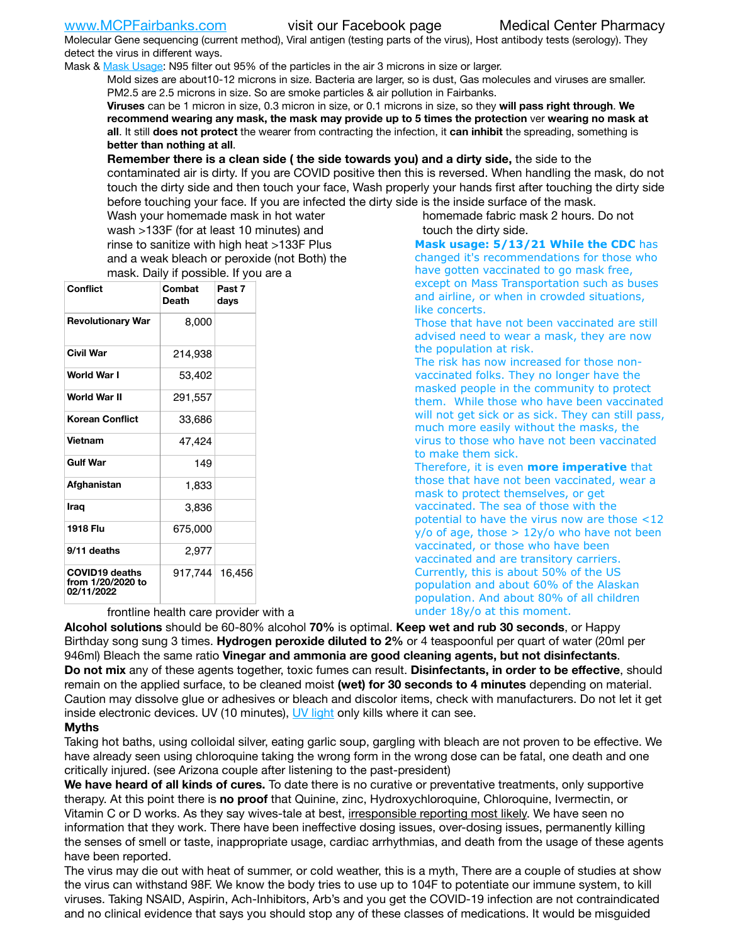Molecular Gene sequencing (current method), Viral antigen (testing parts of the virus), Host antibody tests (serology). They detect the virus in different ways.

Mask & [Mask Usage:](https://www.nationalgeographic.com/history/2020/03/how-cities-flattened-curve-1918-spanish-flu-pandemic-coronavirus/) N95 filter out 95% of the particles in the air 3 microns in size or larger.

Mold sizes are about10-12 microns in size. Bacteria are larger, so is dust, Gas molecules and viruses are smaller. PM2.5 are 2.5 microns in size. So are smoke particles & air pollution in Fairbanks.

**Viruses** can be 1 micron in size, 0.3 micron in size, or 0.1 microns in size, so they **will pass right through**. **We recommend wearing any mask, the mask may provide up to 5 times the protection** ver **wearing no mask at all**. It still **does not protect** the wearer from contracting the infection, it **can inhibit** the spreading, something is **better than nothing at all**.

**Remember there is a clean side ( the side towards you) and a dirty side,** the side to the contaminated air is dirty. If you are COVID positive then this is reversed. When handling the mask, do not touch the dirty side and then touch your face, Wash properly your hands first after touching the dirty side before touching your face. If you are infected the dirty side is the inside surface of the mask.

homemade fabric mask 2 hours. Do not touch the dirty side.

Wash your homemade mask in hot water wash >133F (for at least 10 minutes) and rinse to sanitize with high heat >133F Plus and a weak bleach or peroxide (not Both) the mask. Daily if possible. If you are a

| <b>Conflict</b>                                          | Combat<br><b>Death</b> | Past <sub>7</sub><br>days |  |  |  |
|----------------------------------------------------------|------------------------|---------------------------|--|--|--|
| <b>Revolutionary War</b>                                 | 8,000                  |                           |  |  |  |
| <b>Civil War</b>                                         | 214,938                |                           |  |  |  |
| World War I                                              | 53,402                 |                           |  |  |  |
| World War II                                             | 291,557                |                           |  |  |  |
| Korean Conflict                                          | 33,686                 |                           |  |  |  |
| Vietnam                                                  | 47,424                 |                           |  |  |  |
| <b>Gulf War</b>                                          | 149                    |                           |  |  |  |
| Afghanistan                                              | 1,833                  |                           |  |  |  |
| Iraq                                                     | 3.836                  |                           |  |  |  |
| 1918 Flu                                                 | 675,000                |                           |  |  |  |
| 9/11 deaths                                              | 2,977                  |                           |  |  |  |
| <b>COVID19 deaths</b><br>from 1/20/2020 to<br>02/11/2022 | 917,744 16,456         |                           |  |  |  |

**Mask usage: 5/13/21 While the CDC** has changed it's recommendations for those who have gotten vaccinated to go mask free,

except on Mass Transportation such as buses and airline, or when in crowded situations, like concerts.

Those that have not been vaccinated are still advised need to wear a mask, they are now the population at risk.

The risk has now increased for those nonvaccinated folks. They no longer have the masked people in the community to protect them. While those who have been vaccinated will not get sick or as sick. They can still pass, much more easily without the masks, the virus to those who have not been vaccinated to make them sick.

Therefore, it is even **more imperative** that those that have not been vaccinated, wear a mask to protect themselves, or get vaccinated. The sea of those with the potential to have the virus now are those <12  $y$ /o of age, those  $> 12y$ /o who have not been vaccinated, or those who have been vaccinated and are transitory carriers. Currently, this is about 50% of the US population and about 60% of the Alaskan population. And about 80% of all children under 18y/o at this moment.

frontline health care provider with a

**Alcohol solutions** should be 60-80% alcohol **70%** is optimal. **Keep wet and rub 30 seconds**, or Happy Birthday song sung 3 times. **Hydrogen peroxide diluted to 2%** or 4 teaspoonful per quart of water (20ml per 946ml) Bleach the same ratio **Vinegar and ammonia are good cleaning agents, but not disinfectants**. **Do not mix** any of these agents together, toxic fumes can result. **Disinfectants, in order to be effective**, should remain on the applied surface, to be cleaned moist **(wet) for 30 seconds to 4 minutes** depending on material. Caution may dissolve glue or adhesives or bleach and discolor items, check with manufacturers. Do not let it get inside electronic devices. UV (10 minutes), [UV light](http://www.docreviews.me/best-uv-boxes-2020/?fbclid=IwAR3bvFtXB48OoBBSvYvTEnKuHNPbipxM6jUo82QUSw9wckxjC7wwRZWabGw) only kills where it can see.

### **Myths**

Taking hot baths, using colloidal silver, eating garlic soup, gargling with bleach are not proven to be effective. We have already seen using chloroquine taking the wrong form in the wrong dose can be fatal, one death and one critically injured. (see Arizona couple after listening to the past-president)

**We have heard of all kinds of cures.** To date there is no curative or preventative treatments, only supportive therapy. At this point there is **no proof** that Quinine, zinc, Hydroxychloroquine, Chloroquine, Ivermectin, or Vitamin C or D works. As they say wives-tale at best, irresponsible reporting most likely. We have seen no information that they work. There have been ineffective dosing issues, over-dosing issues, permanently killing the senses of smell or taste, inappropriate usage, cardiac arrhythmias, and death from the usage of these agents have been reported.

The virus may die out with heat of summer, or cold weather, this is a myth, There are a couple of studies at show the virus can withstand 98F. We know the body tries to use up to 104F to potentiate our immune system, to kill viruses. Taking NSAID, Aspirin, Ach-Inhibitors, Arb's and you get the COVID-19 infection are not contraindicated and no clinical evidence that says you should stop any of these classes of medications. It would be misguided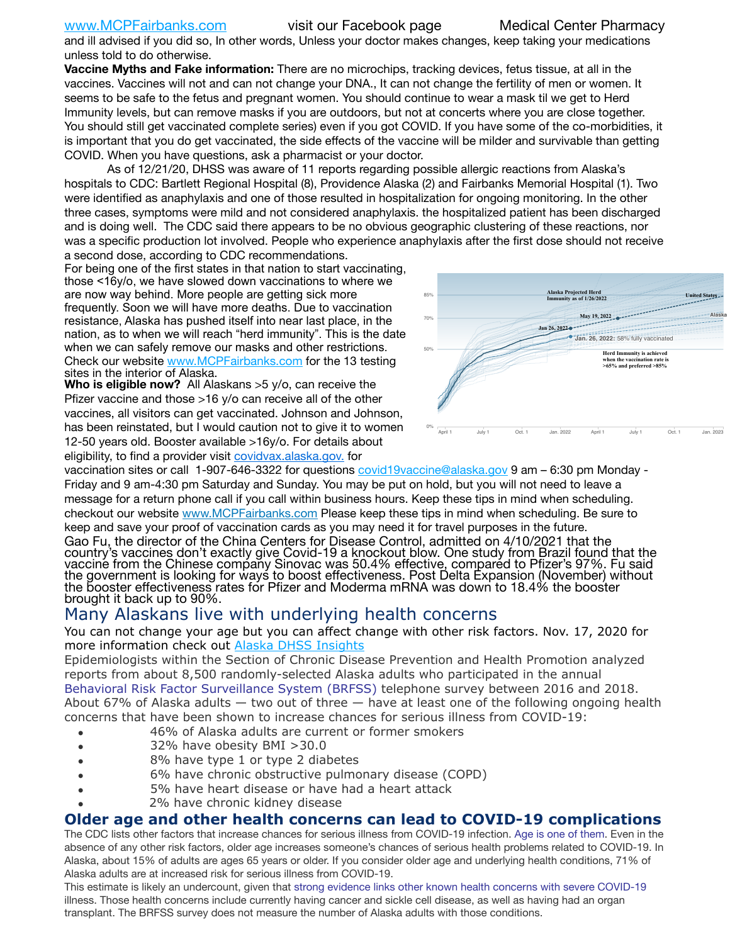and ill advised if you did so, In other words, Unless your doctor makes changes, keep taking your medications unless told to do otherwise.

**Vaccine Myths and Fake information:** There are no microchips, tracking devices, fetus tissue, at all in the vaccines. Vaccines will not and can not change your DNA., It can not change the fertility of men or women. It seems to be safe to the fetus and pregnant women. You should continue to wear a mask til we get to Herd Immunity levels, but can remove masks if you are outdoors, but not at concerts where you are close together. You should still get vaccinated complete series) even if you got COVID. If you have some of the co-morbidities, it is important that you do get vaccinated, the side effects of the vaccine will be milder and survivable than getting COVID. When you have questions, ask a pharmacist or your doctor.

As of 12/21/20, DHSS was aware of 11 reports regarding possible allergic reactions from Alaska's hospitals to CDC: Bartlett Regional Hospital (8), Providence Alaska (2) and Fairbanks Memorial Hospital (1). Two were identified as anaphylaxis and one of those resulted in hospitalization for ongoing monitoring. In the other three cases, symptoms were mild and not considered anaphylaxis. the hospitalized patient has been discharged and is doing well. The CDC said there appears to be no obvious geographic clustering of these reactions, nor was a specific production lot involved. People who experience anaphylaxis after the first dose should not receive a second dose, according to CDC recommendations.

For being one of the first states in that nation to start vaccinating, those <16y/o, we have slowed down vaccinations to where we are now way behind. More people are getting sick more frequently. Soon we will have more deaths. Due to vaccination resistance, Alaska has pushed itself into near last place, in the nation, as to when we will reach "herd immunity". This is the date when we can safely remove our masks and other restrictions. Check our website [www.MCPFairbanks.com](http://www.MCPFairbanks.com) for the 13 testing sites in the interior of Alaska.

**Who is eligible now?** All Alaskans >5 y/o, can receive the Pfizer vaccine and those >16 y/o can receive all of the other vaccines, all visitors can get vaccinated. Johnson and Johnson, has been reinstated, but I would caution not to give it to women 12-50 years old. Booster available >16y/o. For details about eligibility, to find a provider visit [covidvax.alaska.gov.](https://lnks.gd/l/eyJhbGciOiJIUzI1NiJ9.eyJidWxsZXRpbl9saW5rX2lkIjoxMDYsInVyaSI6ImJwMjpjbGljayIsImJ1bGxldGluX2lkIjoiMjAyMTAxMjguMzQwODU3NjEiLCJ1cmwiOiJodHRwOi8vZGhzcy5hbGFza2EuZ292L2RwaC9FcGkvaWQvUGFnZXMvQ09WSUQtMTkvdmFjY2luZS5hc3B4In0.-Xwhl42jAWOMS7ewfS85uxwrwjohCso3Sb81DuDKtxU/s/500544915/br/93796640171-l) for



vaccination sites or call 1-907-646-3322 for questions *covid19vaccine@alaska.gov* 9 am – 6:30 pm Monday -Friday and 9 am-4:30 pm Saturday and Sunday. You may be put on hold, but you will not need to leave a message for a return phone call if you call within business hours. Keep these tips in mind when scheduling. checkout our website [www.MCPFairbanks.com](http://www.MCPFairbanks.com) Please keep these tips in mind when scheduling. Be sure to keep and save your proof of vaccination cards as you may need it for travel purposes in the future. Gao Fu, the director of the China Centers for Disease Control, admitted on 4/10/2021 that the country's vaccines don't exactly give Covid-19 a knockout blow. One study from Brazil found that the vaccine from the Chinese company Sinovac was 50.4% effective, compared to Pfizer's 97%. Fu said the government is looking for ways to boost effectiveness. Post Delta Expansion (November) without<br>the booster effectiveness rates for Pfizer and Moderma mRNA was down to 18.4% the booster brought it back up to 90%.

# Many Alaskans live with underlying health concerns

You can not change your age but you can affect change with other risk factors. Nov. 17, 2020 for more information check out [Alaska DHSS Insights](http://dhss.alaska.gov/dph/Epi/id/Pages/COVID-19/blog/20201117.aspx)

Epidemiologists within the Section of Chronic Disease Prevention and Health Promotion analyzed reports from about 8,500 randomly-selected Alaska adults who participated in the annual [Behavioral Risk Factor Surveillance System \(BRFSS\)](http://dhss.alaska.gov/dph/Chronic/Pages/brfss/default.aspx) telephone survey between 2016 and 2018. About 67% of Alaska adults — two out of three — have at least one of the following ongoing health concerns that have been shown to increase chances for serious illness from COVID-19:

- 46% of Alaska adults are current or former smokers
- 32% have obesity BMI >30.0
- 8% have type 1 or type 2 diabetes
- 6% have chronic obstructive pulmonary disease (COPD)
- 5% have heart disease or have had a heart attack
- 2% have chronic kidney disease

## **Older age and other health concerns can lead to COVID-19 complications**

The CDC lists other factors that increase chances for serious illness from COVID-19 infection. [Age is one of them](https://www.cdc.gov/coronavirus/2019-ncov/need-extra-precautions/older-adults.html). Even in the absence of any other risk factors, older age increases someone's chances of serious health problems related to COVID-19. In Alaska, about 15% of adults are ages 65 years or older. If you consider older age and underlying health conditions, 71% of Alaska adults are at increased risk for serious illness from COVID-19.

This estimate is likely an undercount, given that [strong evidence links other known health concerns with severe COVID-19](https://www.cdc.gov/coronavirus/2019-ncov/need-extra-precautions/people-with-medical-conditions.html) illness. Those health concerns include currently having cancer and sickle cell disease, as well as having had an organ transplant. The BRFSS survey does not measure the number of Alaska adults with those conditions.